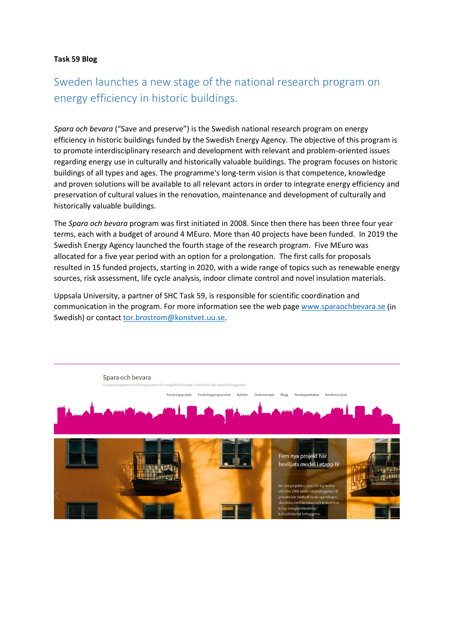## **Task 59 Blog**

## Sweden launches a new stage of the national research program on energy efficiency in historic buildings.

*Spara och bevara* ("Save and preserve") is the Swedish national research program on energy efficiency in historic buildings funded by the Swedish Energy Agency. The objective of this program is to promote interdisciplinary research and development with relevant and problem-oriented issues regarding energy use in culturally and historically valuable buildings. The program focuses on historic buildings of all types and ages. The programme's long-term vision is that competence, knowledge and proven solutions will be available to all relevant actors in order to integrate energy efficiency and preservation of cultural values in the renovation, maintenance and development of culturally and historically valuable buildings.

The *Spara och bevara* program was first initiated in 2008. Since then there has been three four year terms, each with a budget of around 4 MEuro. More than 40 projects have been funded. In 2019 the Swedish Energy Agency launched the fourth stage of the research program. Five MEuro was allocated for a five year period with an option for a prolongation. The first calls for proposals resulted in 15 funded projects, starting in 2020, with a wide range of topics such as renewable energy sources, risk assessment, life cycle analysis, indoor climate control and novel insulation materials.

Uppsala University, a partner of SHC Task 59, is responsible for scientific coordination and communication in the program. For more information see the web page [www.sparaochbevara.se](http://www.sparaochbevara.se/) (in Swedish) or contac[t tor.brostrom@konstvet.uu.se.](mailto:tor.brostrom@konstvet.uu.se)